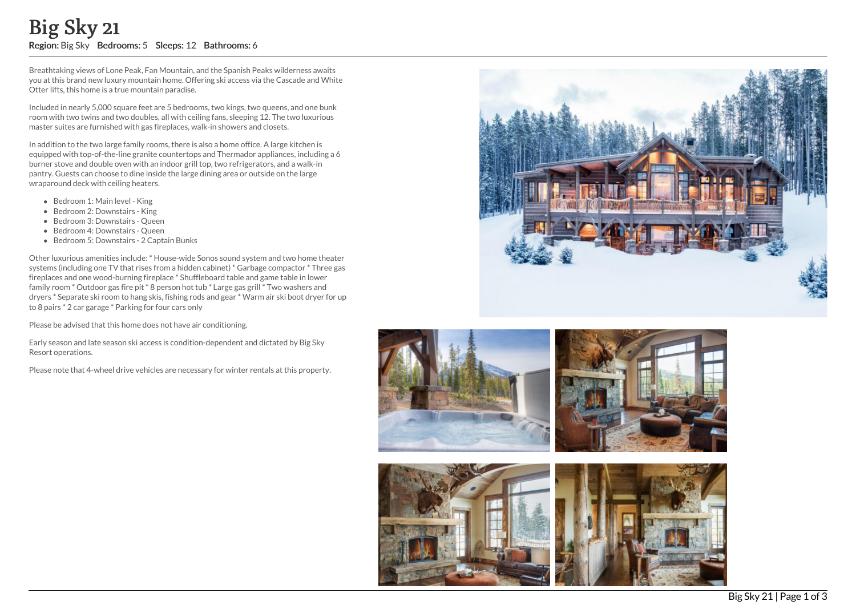## Big Sky 21 Region: Big Sky Bedrooms: 5 Sleeps: 12 Bathrooms: 6

Breathtaking views of Lone Peak, Fan Mountain, and the Spanish Peaks wilderness awaits you at this brand new luxury mountain home. Offering ski access via the Cascade and White Otter lifts, this home is a true mountain paradise.

Included in nearly 5,000 square feet are 5 bedrooms, two kings, two queens, and one bunk room with two twins and two doubles, all with ceiling fans, sleeping 12. The two luxurious master suites are furnished with gas fireplaces, walk-in showers and closets.

In addition to the two large family rooms, there is also a home office. A large kitchen is equipped with top-of-the-line granite countertops and Thermador appliances, including a 6 burner stove and double oven with an indoor grill top, two refrigerators, and a walk-in pantry. Guests can choose to dine inside the large dining area or outside on the large wraparound deck with ceiling heaters.

- Bedroom 1: Main level King
- Bedroom 2: Downstairs King
- Bedroom 3: Downstairs Queen
- Bedroom 4: Downstairs Queen
- Bedroom 5: Downstairs 2 Captain Bunks

Other luxurious amenities include:\* House-wide Sonos sound system and two home theater systems (including one TV that rises from a hidden cabinet)\* Garbage compactor \* Three gas fireplaces and one wood-burning fireplace \* Shuffleboard table and game table in lower family room \* Outdoor gas fire pit \* 8 person hot tub \* Large gas grill \* Two washers and dryers \* Separate ski room to hang skis, fishing rods and gear \* Warm air ski boot dryer for up to 8 pairs \* 2 car garage \* Parking for four cars only

Please be advised that this home does not have air conditioning.

Early season and late season ski access is condition-dependent and dictated by Big Sky Resort operations.

Please note that 4-wheel drive vehicles are necessary for winter rentals at this property.



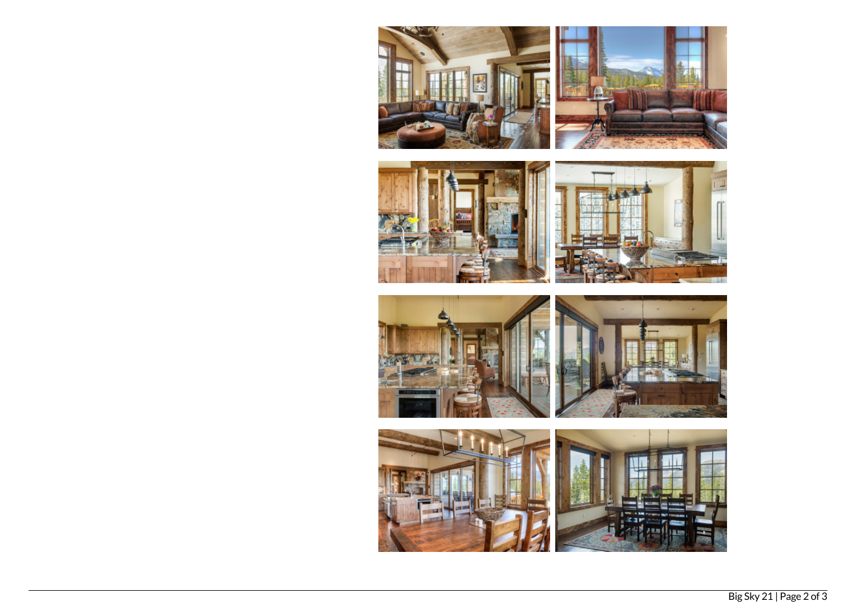